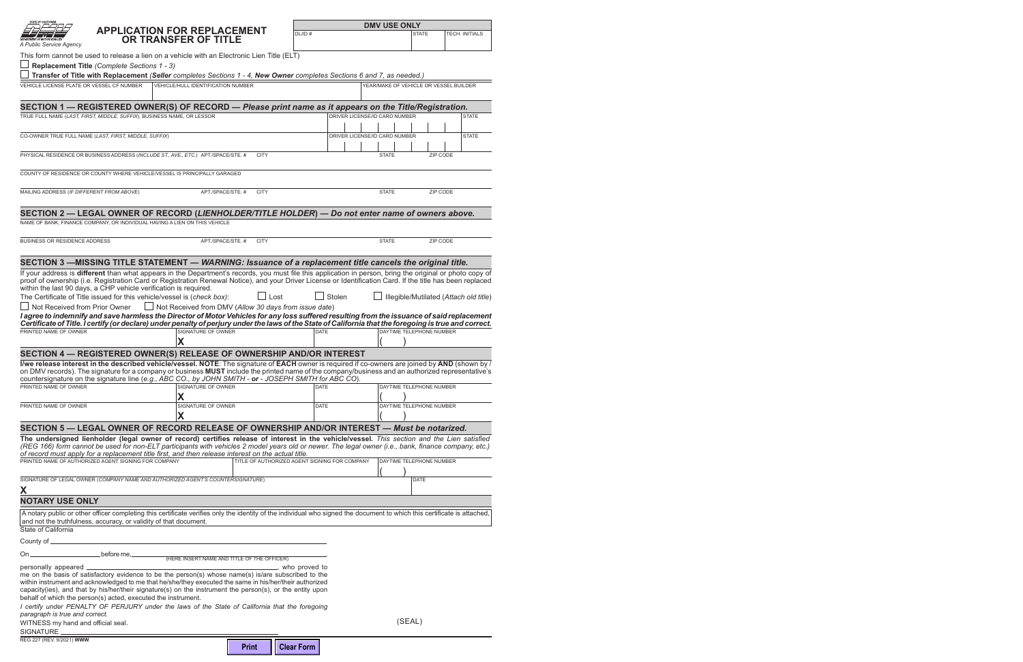| A Public Service Agency                                                                                                                                                                                                                                                                                                                                                                                                                                           | APPLICATION FOR REPLACEMENT<br>OR TRANSFER OF TITLE          |              | DL/ID#                                        |        |                                        | <b>STATE</b>             | TECH. INITIALS                         |
|-------------------------------------------------------------------------------------------------------------------------------------------------------------------------------------------------------------------------------------------------------------------------------------------------------------------------------------------------------------------------------------------------------------------------------------------------------------------|--------------------------------------------------------------|--------------|-----------------------------------------------|--------|----------------------------------------|--------------------------|----------------------------------------|
| This form cannot be used to release a lien on a vehicle with an Electronic Lien Title (ELT)                                                                                                                                                                                                                                                                                                                                                                       |                                                              |              |                                               |        |                                        |                          |                                        |
| Replacement Title (Complete Sections 1 - 3)                                                                                                                                                                                                                                                                                                                                                                                                                       |                                                              |              |                                               |        |                                        |                          |                                        |
| Transfer of Title with Replacement (Seller completes Sections 1 - 4, New Owner completes Sections 6 and 7, as needed.)                                                                                                                                                                                                                                                                                                                                            |                                                              |              |                                               |        |                                        |                          |                                        |
| VEHICLE LICENSE PLATE OR VESSEL CF NUMBER                                                                                                                                                                                                                                                                                                                                                                                                                         | <b>VEHICLE/HULL IDENTIFICATION NUMBER</b>                    |              |                                               |        | YEAR/MAKE OF VEHICLE OR VESSEL BUILDER |                          |                                        |
| SECTION 1 - REGISTERED OWNER(S) OF RECORD - Please print name as it appears on the Title/Registration.                                                                                                                                                                                                                                                                                                                                                            |                                                              |              |                                               |        |                                        |                          |                                        |
| TRUE FULL NAME (LAST, FIRST, MIDDLE, SUFFIX), BUSINESS NAME, OR LESSOR                                                                                                                                                                                                                                                                                                                                                                                            |                                                              |              |                                               |        | DRIVER LICENSE/ID CARD NUMBER          |                          | <b>STATE</b>                           |
|                                                                                                                                                                                                                                                                                                                                                                                                                                                                   |                                                              |              |                                               |        |                                        |                          |                                        |
| CO-OWNER TRUE FULL NAME (LAST, FIRST, MIDDLE, SUFFIX)                                                                                                                                                                                                                                                                                                                                                                                                             |                                                              |              |                                               |        | DRIVER LICENSE/ID CARD NUMBER          |                          | <b>STATE</b>                           |
| PHYSICAL RESIDENCE OR BUSINESS ADDRESS (INCLUDE ST., AVE., ETC.) APT./SPACE/STE. #                                                                                                                                                                                                                                                                                                                                                                                |                                                              | <b>CITY</b>  |                                               |        | <b>STATE</b>                           |                          | ZIP CODE                               |
| COUNTY OF RESIDENCE OR COUNTY WHERE VEHICLE/VESSEL IS PRINCIPALLY GARAGED                                                                                                                                                                                                                                                                                                                                                                                         |                                                              |              |                                               |        |                                        |                          |                                        |
| MAILING ADDRESS (IF DIFFERENT FROM ABOVE)                                                                                                                                                                                                                                                                                                                                                                                                                         | APT./SPACE/STE. #                                            | <b>CITY</b>  |                                               |        | <b>STATE</b>                           |                          | ZIP CODE                               |
| SECTION 2 - LEGAL OWNER OF RECORD (LIENHOLDER/TITLE HOLDER) - Do not enter name of owners above.                                                                                                                                                                                                                                                                                                                                                                  |                                                              |              |                                               |        |                                        |                          |                                        |
| NAME OF BANK, FINANCE COMPANY, OR INDIVIDUAL HAVING A LIEN ON THIS VEHICLE                                                                                                                                                                                                                                                                                                                                                                                        |                                                              |              |                                               |        |                                        |                          |                                        |
| <b>BUSINESS OR RESIDENCE ADDRESS</b>                                                                                                                                                                                                                                                                                                                                                                                                                              | APT./SPACE/STE. #                                            | <b>CITY</b>  |                                               |        | <b>STATE</b>                           |                          | ZIP CODE                               |
| SECTION 3 -MISSING TITLE STATEMENT - WARNING: Issuance of a replacement title cancels the original title.                                                                                                                                                                                                                                                                                                                                                         |                                                              |              |                                               |        |                                        |                          |                                        |
| If your address is different than what appears in the Department's records, you must file this application in person, bring the original or photo copy of<br>proof of ownership (i.e. Registration Card or Registration Renewal Notice), and your Driver License or Identification Card. If the title has been replaced<br>within the last 90 days, a CHP vehicle verification is required.                                                                       |                                                              |              |                                               |        |                                        |                          |                                        |
| The Certificate of Title issued for this vehicle/vessel is (check box):                                                                                                                                                                                                                                                                                                                                                                                           |                                                              | $\Box$ Lost  |                                               | Stolen |                                        |                          | Illegible/Mutilated (Attach old title) |
| Not Received from Prior Owner                                                                                                                                                                                                                                                                                                                                                                                                                                     | $\Box$ Not Received from DMV (Allow 30 days from issue date) |              |                                               |        |                                        |                          |                                        |
| I agree to indemnify and save harmless the Director of Motor Vehicles for any loss suffered resulting from the issuance of said replacement                                                                                                                                                                                                                                                                                                                       |                                                              |              |                                               |        |                                        |                          |                                        |
| Certificate of Title. I certify (or declare) under penalty of perjury under the laws of the State of California that the foregoing is true and correct.                                                                                                                                                                                                                                                                                                           |                                                              |              |                                               |        |                                        |                          |                                        |
| PRINTED NAME OF OWNER                                                                                                                                                                                                                                                                                                                                                                                                                                             | SIGNATURE OF OWNER                                           |              | <b>DATE</b>                                   |        |                                        | DAYTIME TELEPHONE NUMBER |                                        |
|                                                                                                                                                                                                                                                                                                                                                                                                                                                                   | X                                                            |              |                                               |        |                                        |                          |                                        |
| SECTION 4 - REGISTERED OWNER(S) RELEASE OF OWNERSHIP AND/OR INTEREST                                                                                                                                                                                                                                                                                                                                                                                              |                                                              |              |                                               |        |                                        |                          |                                        |
| I/we release interest in the described vehicle/vessel. NOTE: The signature of EACH owner is required if co-owners are joined by AND (shown by /<br>on DMV records). The signature for a company or business MUST include the printed name of the company/business and an authorized representative's<br>countersignature on the signature line (e.g., ABC CO., by JOHN SMITH - or - JOSEPH SMITH for ABC CO).                                                     |                                                              |              |                                               |        |                                        |                          |                                        |
| PRINTED NAME OF OWNER                                                                                                                                                                                                                                                                                                                                                                                                                                             | SIGNATURE OF OWNER                                           |              | <b>DATE</b>                                   |        |                                        | DAYTIME TELEPHONE NUMBER |                                        |
| PRINTED NAME OF OWNER                                                                                                                                                                                                                                                                                                                                                                                                                                             | X<br>SIGNATURE OF OWNER                                      |              | <b>DATE</b>                                   |        |                                        | DAYTIME TELEPHONE NUMBER |                                        |
|                                                                                                                                                                                                                                                                                                                                                                                                                                                                   | X                                                            |              |                                               |        |                                        |                          |                                        |
|                                                                                                                                                                                                                                                                                                                                                                                                                                                                   |                                                              |              |                                               |        |                                        |                          |                                        |
| SECTION 5 - LEGAL OWNER OF RECORD RELEASE OF OWNERSHIP AND/OR INTEREST - Must be notarized.                                                                                                                                                                                                                                                                                                                                                                       |                                                              |              |                                               |        |                                        |                          |                                        |
| The undersigned lienholder (legal owner of record) certifies release of interest in the vehicle/vessel. This section and the Lien satisfied<br>(REG 166) form cannot be used for non-ELT participants with vehicles 2 model years old or newer. The legal owner (i.e., bank, finance company, etc.)<br>of record must apply for a replacement title first, and then release interest on the actual title.<br>PRINTED NAME OF AUTHORIZED AGENT SIGNING FOR COMPANY |                                                              |              | TITLE OF AUTHORIZED AGENT SIGNING FOR COMPANY |        |                                        |                          |                                        |
|                                                                                                                                                                                                                                                                                                                                                                                                                                                                   |                                                              |              |                                               |        |                                        | DAYTIME TELEPHONE NUMBER |                                        |
| SIGNATURE OF LEGAL OWNER (COMPANY NAME AND AUTHORIZED AGENT'S COUNTERSIGNATURE)                                                                                                                                                                                                                                                                                                                                                                                   |                                                              |              |                                               |        |                                        | <b>DATE</b>              |                                        |
| X                                                                                                                                                                                                                                                                                                                                                                                                                                                                 |                                                              |              |                                               |        |                                        |                          |                                        |
| <b>NOTARY USE ONLY</b>                                                                                                                                                                                                                                                                                                                                                                                                                                            |                                                              |              |                                               |        |                                        |                          |                                        |
| A notary public or other officer completing this certificate verifies only the identity of the individual who signed the document to which this certificate is attached,<br>and not the truthfulness, accuracy, or validity of that document.                                                                                                                                                                                                                     |                                                              |              |                                               |        |                                        |                          |                                        |
| State of California                                                                                                                                                                                                                                                                                                                                                                                                                                               |                                                              |              |                                               |        |                                        |                          |                                        |
| County of _______________                                                                                                                                                                                                                                                                                                                                                                                                                                         |                                                              |              |                                               |        |                                        |                          |                                        |
| On_                                                                                                                                                                                                                                                                                                                                                                                                                                                               |                                                              |              |                                               |        |                                        |                          |                                        |
| personally appeared _______<br>me on the basis of satisfactory evidence to be the person(s) whose name(s) is/are subscribed to the<br>within instrument and acknowledged to me that he/she/they executed the same in his/her/their authorized<br>capacity(ies), and that by his/her/their signature(s) on the instrument the person(s), or the entity upon<br>behalf of which the person(s) acted, executed the instrument.                                       |                                                              |              |                                               |        |                                        |                          |                                        |
| I certify under PENALTY OF PERJURY under the laws of the State of California that the foregoing<br>paragraph is true and correct.                                                                                                                                                                                                                                                                                                                                 |                                                              |              |                                               |        |                                        | (SEAL)                   |                                        |
| WITNESS my hand and official seal.<br>SIGNATURE_                                                                                                                                                                                                                                                                                                                                                                                                                  |                                                              |              |                                               |        |                                        |                          |                                        |
| REG 227 (REV. 9/2021) WWW                                                                                                                                                                                                                                                                                                                                                                                                                                         |                                                              |              |                                               |        |                                        |                          |                                        |
|                                                                                                                                                                                                                                                                                                                                                                                                                                                                   |                                                              | <b>Print</b> | <b>Clear Form</b>                             |        |                                        |                          |                                        |

**DMV USE ONLY** 

| <b>STATE OF CALIFORNIA</b><br>DEPARTMENT OF MOTOR VEHICLES.                        | <b>APPLICATION FOR REPLACEMENT</b><br>OR TRANSFER OF TITLE                                                                                                                                                                                              | <b>DMV USI</b><br>DL/ID# |
|------------------------------------------------------------------------------------|---------------------------------------------------------------------------------------------------------------------------------------------------------------------------------------------------------------------------------------------------------|--------------------------|
| A Public Service Agency                                                            |                                                                                                                                                                                                                                                         |                          |
|                                                                                    | This form cannot be used to release a lien on a vehicle with an Electronic Lien Title (ELT)                                                                                                                                                             |                          |
| Replacement Title (Complete Sections 1 - 3)                                        |                                                                                                                                                                                                                                                         |                          |
|                                                                                    | Transfer of Title with Replacement (Seller completes Sections 1 - 4, New Owner completes Sections 6 and 7, as                                                                                                                                           |                          |
| VEHICLE LICENSE PLATE OR VESSEL CF NUMBER                                          | <b>VEHICLE/HULL IDENTIFICATION NUMBER</b>                                                                                                                                                                                                               | YEAR/MAKE (              |
|                                                                                    | SECTION 1 - REGISTERED OWNER(S) OF RECORD - Please print name as it appears on the                                                                                                                                                                      |                          |
| TRUE FULL NAME (LAST, FIRST, MIDDLE, SUFFIX), BUSINESS NAME, OR LESSOR             |                                                                                                                                                                                                                                                         | DRIVER LICENSE/ID CARD   |
|                                                                                    |                                                                                                                                                                                                                                                         |                          |
| CO-OWNER TRUE FULL NAME (LAST, FIRST, MIDDLE, SUFFIX)                              |                                                                                                                                                                                                                                                         | DRIVER LICENSE/ID CARD   |
|                                                                                    |                                                                                                                                                                                                                                                         |                          |
| PHYSICAL RESIDENCE OR BUSINESS ADDRESS (INCLUDE ST., AVE., ETC.) APT./SPACE/STE. # | <b>CITY</b>                                                                                                                                                                                                                                             | <b>STATE</b>             |
| COUNTY OF RESIDENCE OR COUNTY WHERE VEHICLE/VESSEL IS PRINCIPALLY GARAGED          |                                                                                                                                                                                                                                                         |                          |
| MAILING ADDRESS (IF DIFFERENT FROM ABOVE)                                          | APT./SPACE/STE. #<br><b>CITY</b>                                                                                                                                                                                                                        | <b>STATE</b>             |
|                                                                                    | SECTION 2 - LEGAL OWNER OF RECORD (LIENHOLDER/TITLE HOLDER) - Do not enter nar                                                                                                                                                                          |                          |
| NAME OF BANK, FINANCE COMPANY, OR INDIVIDUAL HAVING A LIEN ON THIS VEHICLE         |                                                                                                                                                                                                                                                         |                          |
| <b>BUSINESS OR RESIDENCE ADDRESS</b>                                               | APT./SPACE/STE. #<br><b>CITY</b>                                                                                                                                                                                                                        | <b>STATE</b>             |
|                                                                                    | SECTION 3 -MISSING TITLE STATEMENT - WARNING: Issuance of a replacement title cance                                                                                                                                                                     |                          |
|                                                                                    |                                                                                                                                                                                                                                                         |                          |
| within the last 90 days, a CHP vehicle verification is required.                   | If your address is different than what appears in the Department's records, you must file this application in person, brir<br>proof of ownership (i.e. Registration Card or Registration Renewal Notice), and your Driver License or Identification Car |                          |
| The Certificate of Title issued for this vehicle/vessel is (check box):            | Lost                                                                                                                                                                                                                                                    | Stolen<br>Ille           |
|                                                                                    |                                                                                                                                                                                                                                                         |                          |